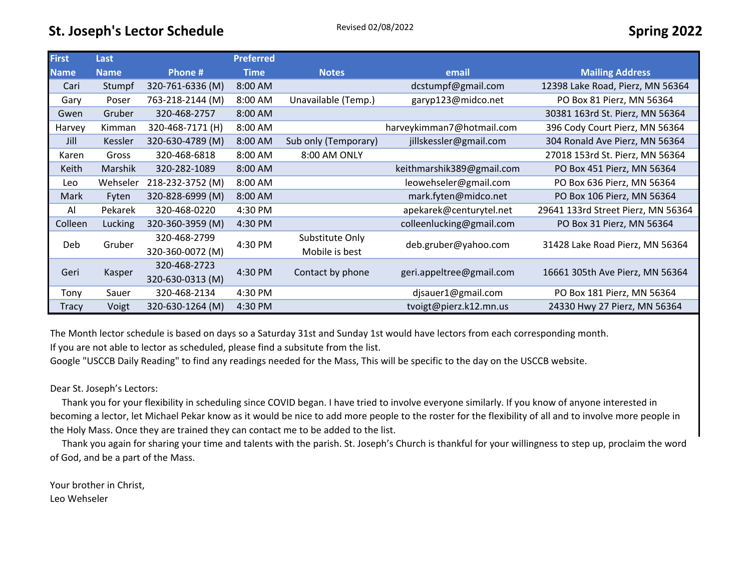| <b>First</b> | Last           |                  | <b>Preferred</b> |                      |                           |                                    |  |
|--------------|----------------|------------------|------------------|----------------------|---------------------------|------------------------------------|--|
| <b>Name</b>  | <b>Name</b>    | Phone #          | <b>Time</b>      | <b>Notes</b>         | email                     | <b>Mailing Address</b>             |  |
| Cari         | Stumpf         | 320-761-6336 (M) | $8:00$ AM        |                      | dcstumpf@gmail.com        | 12398 Lake Road, Pierz, MN 56364   |  |
| Gary         | Poser          | 763-218-2144 (M) | $8:00$ AM        | Unavailable (Temp.)  | garyp123@midco.net        | PO Box 81 Pierz, MN 56364          |  |
| Gwen         | Gruber         | 320-468-2757     | 8:00 AM          |                      |                           | 30381 163rd St. Pierz, MN 56364    |  |
| Harvey       | Kimman         | 320-468-7171 (H) | 8:00 AM          |                      | harveykimman7@hotmail.com | 396 Cody Court Pierz, MN 56364     |  |
| Jill         | Kessler        | 320-630-4789 (M) | 8:00 AM          | Sub only (Temporary) | jillskessler@gmail.com    | 304 Ronald Ave Pierz, MN 56364     |  |
| Karen        | Gross          | 320-468-6818     | $8:00$ AM        | 8:00 AM ONLY         |                           | 27018 153rd St. Pierz, MN 56364    |  |
| Keith        | <b>Marshik</b> | 320-282-1089     | $8:00$ AM        |                      | keithmarshik389@gmail.com | PO Box 451 Pierz, MN 56364         |  |
| Leo          | Wehseler       | 218-232-3752 (M) | $8:00$ AM        |                      | leowehseler@gmail.com     | PO Box 636 Pierz, MN 56364         |  |
| Mark         | Fyten          | 320-828-6999 (M) | 8:00 AM          |                      | mark.fyten@midco.net      | PO Box 106 Pierz, MN 56364         |  |
| Al           | Pekarek        | 320-468-0220     | 4:30 PM          |                      | apekarek@centurytel.net   | 29641 133rd Street Pierz, MN 56364 |  |
| Colleen      | Lucking        | 320-360-3959 (M) | 4:30 PM          |                      | colleenlucking@gmail.com  | PO Box 31 Pierz, MN 56364          |  |
| Deb.         | Gruber         | 320-468-2799     | 4:30 PM          | Substitute Only      | deb.gruber@yahoo.com      | 31428 Lake Road Pierz, MN 56364    |  |
|              |                | 320-360-0072 (M) |                  | Mobile is best       |                           |                                    |  |
| Geri         | Kasper         | 320-468-2723     |                  | Contact by phone     |                           | 16661 305th Ave Pierz, MN 56364    |  |
|              |                | 320-630-0313 (M) | 4:30 PM          |                      | geri.appeltree@gmail.com  |                                    |  |
| Tony         | Sauer          | 320-468-2134     | 4:30 PM          |                      | djsauer1@gmail.com        | PO Box 181 Pierz, MN 56364         |  |
| Tracy        | Voigt          | 320-630-1264 (M) | 4:30 PM          |                      | tvoigt@pierz.k12.mn.us    | 24330 Hwy 27 Pierz, MN 56364       |  |

The Month lector schedule is based on days so a Saturday 31st and Sunday 1st would have lectors from each corresponding month. If you are not able to lector as scheduled, please find a subsitute from the list.

Google "USCCB Daily Reading" to find any readings needed for the Mass, This will be specific to the day on the USCCB website.

## Dear St. Joseph's Lectors:

 Thank you for your flexibility in scheduling since COVID began. I have tried to involve everyone similarly. If you know of anyone interested in becoming a lector, let Michael Pekar know as it would be nice to add more people to the roster for the flexibility of all and to involve more people in the Holy Mass. Once they are trained they can contact me to be added to the list.

 Thank you again for sharing your time and talents with the parish. St. Joseph's Church is thankful for your willingness to step up, proclaim the word of God, and be a part of the Mass.

Your brother in Christ, Leo Wehseler